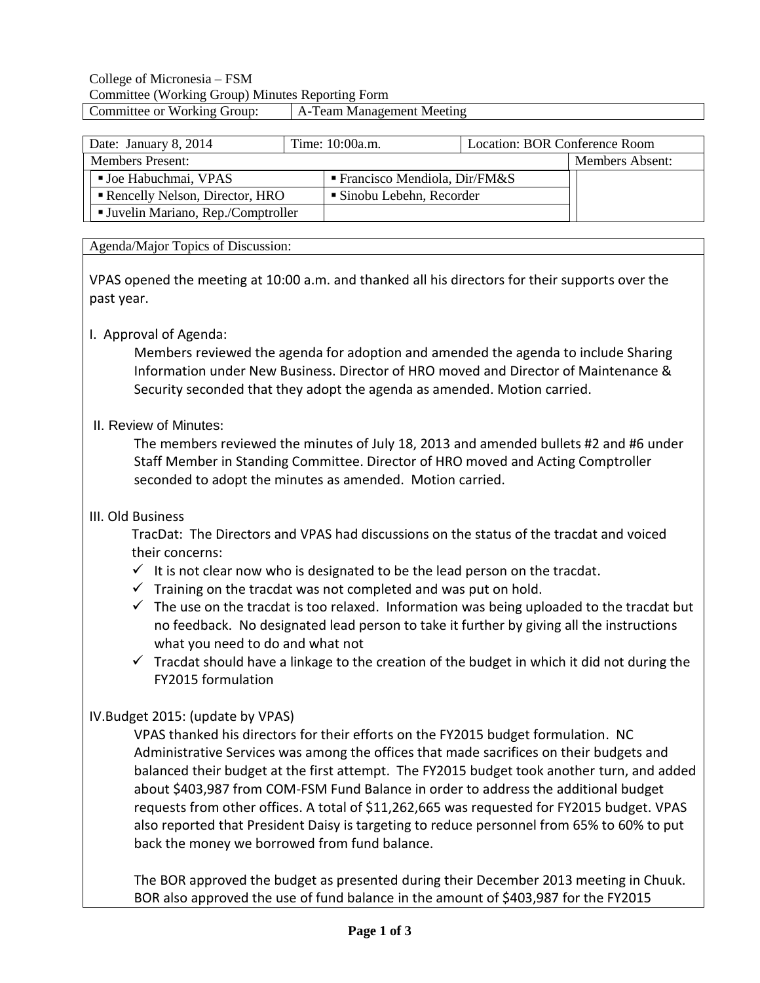| Date: January 8, 2014                    | Time: 10:00a.m. | Location: BOR Conference Room               |  |
|------------------------------------------|-----------------|---------------------------------------------|--|
| <b>Members Present:</b>                  |                 | Members Absent:                             |  |
| <b>Joe Habuchmai, VPAS</b>               |                 | $\blacksquare$ Francisco Mendiola, Dir/FM&S |  |
| Rencelly Nelson, Director, HRO           |                 | ■ Sinobu Lebehn, Recorder                   |  |
| <b>Juvelin Mariano, Rep./Comptroller</b> |                 |                                             |  |

#### Agenda/Major Topics of Discussion:

VPAS opened the meeting at 10:00 a.m. and thanked all his directors for their supports over the past year.

### I. Approval of Agenda:

Members reviewed the agenda for adoption and amended the agenda to include Sharing Information under New Business. Director of HRO moved and Director of Maintenance & Security seconded that they adopt the agenda as amended. Motion carried.

#### II. Review of Minutes:

The members reviewed the minutes of July 18, 2013 and amended bullets #2 and #6 under Staff Member in Standing Committee. Director of HRO moved and Acting Comptroller seconded to adopt the minutes as amended. Motion carried.

#### III. Old Business

TracDat: The Directors and VPAS had discussions on the status of the tracdat and voiced their concerns:

- $\checkmark$  It is not clear now who is designated to be the lead person on the tracdat.
- $\checkmark$  Training on the tracdat was not completed and was put on hold.
- $\checkmark$  The use on the tracdat is too relaxed. Information was being uploaded to the tracdat but no feedback. No designated lead person to take it further by giving all the instructions what you need to do and what not
- $\checkmark$  Tracdat should have a linkage to the creation of the budget in which it did not during the FY2015 formulation

### IV.Budget 2015: (update by VPAS)

VPAS thanked his directors for their efforts on the FY2015 budget formulation. NC Administrative Services was among the offices that made sacrifices on their budgets and balanced their budget at the first attempt. The FY2015 budget took another turn, and added about \$403,987 from COM-FSM Fund Balance in order to address the additional budget requests from other offices. A total of \$11,262,665 was requested for FY2015 budget. VPAS also reported that President Daisy is targeting to reduce personnel from 65% to 60% to put back the money we borrowed from fund balance.

The BOR approved the budget as presented during their December 2013 meeting in Chuuk. BOR also approved the use of fund balance in the amount of \$403,987 for the FY2015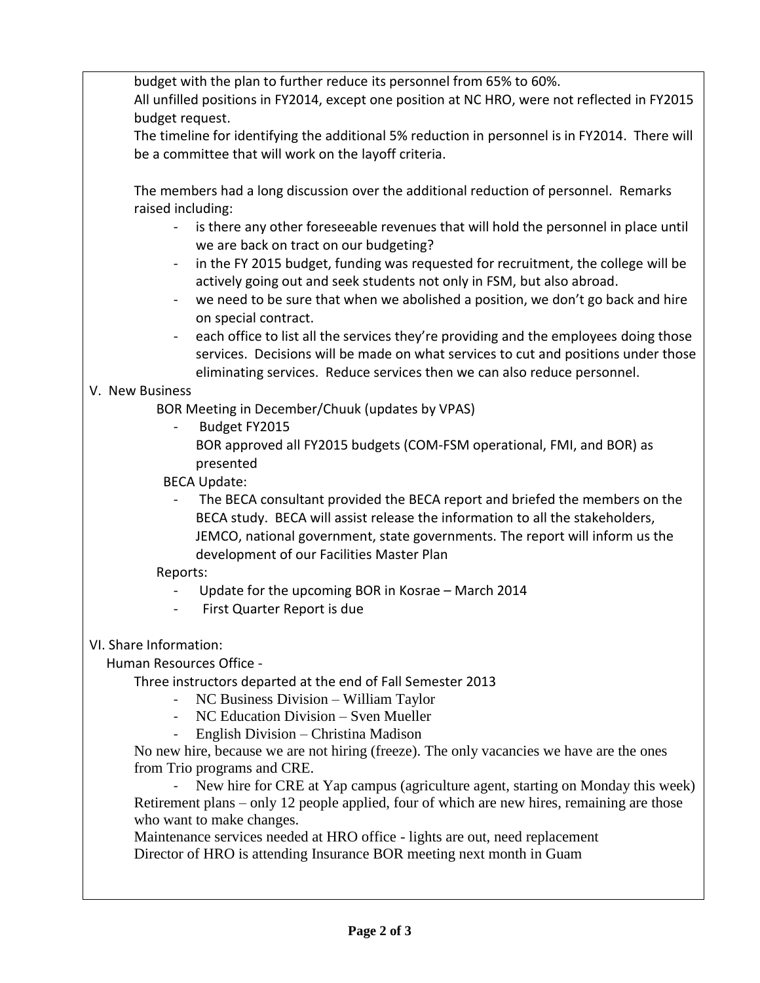budget with the plan to further reduce its personnel from 65% to 60%.

All unfilled positions in FY2014, except one position at NC HRO, were not reflected in FY2015 budget request.

The timeline for identifying the additional 5% reduction in personnel is in FY2014. There will be a committee that will work on the layoff criteria.

The members had a long discussion over the additional reduction of personnel. Remarks raised including:

- is there any other foreseeable revenues that will hold the personnel in place until we are back on tract on our budgeting?
- in the FY 2015 budget, funding was requested for recruitment, the college will be actively going out and seek students not only in FSM, but also abroad.
- we need to be sure that when we abolished a position, we don't go back and hire on special contract.
- each office to list all the services they're providing and the employees doing those services. Decisions will be made on what services to cut and positions under those eliminating services. Reduce services then we can also reduce personnel.

## V. New Business

BOR Meeting in December/Chuuk (updates by VPAS)

- Budget FY2015
	- BOR approved all FY2015 budgets (COM-FSM operational, FMI, and BOR) as presented
- BECA Update:
	- The BECA consultant provided the BECA report and briefed the members on the BECA study. BECA will assist release the information to all the stakeholders, JEMCO, national government, state governments. The report will inform us the development of our Facilities Master Plan

## Reports:

- Update for the upcoming BOR in Kosrae March 2014
- First Quarter Report is due

# VI. Share Information:

Human Resources Office -

Three instructors departed at the end of Fall Semester 2013

- NC Business Division William Taylor
- NC Education Division Sven Mueller
- English Division Christina Madison

No new hire, because we are not hiring (freeze). The only vacancies we have are the ones from Trio programs and CRE.

New hire for CRE at Yap campus (agriculture agent, starting on Monday this week) Retirement plans – only 12 people applied, four of which are new hires, remaining are those who want to make changes.

Maintenance services needed at HRO office - lights are out, need replacement Director of HRO is attending Insurance BOR meeting next month in Guam